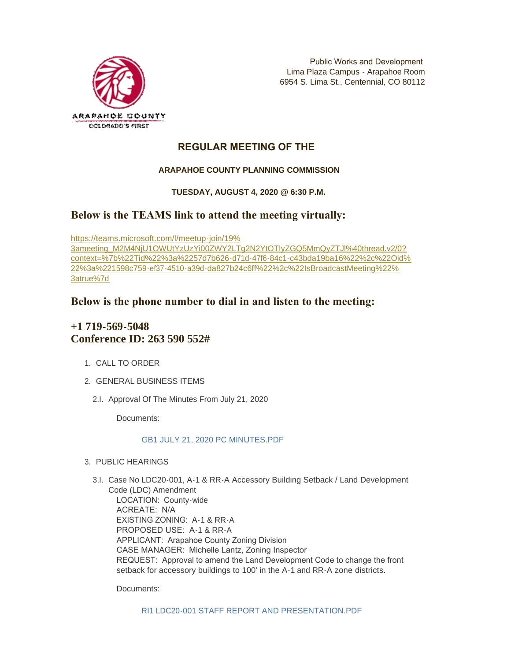

## **REGULAR MEETING OF THE**

## **ARAPAHOE COUNTY PLANNING COMMISSION**

## **TUESDAY, AUGUST 4, 2020 @ 6:30 P.M.**

# **Below is the TEAMS link to attend the meeting virtually:**

https://teams.microsoft.com/l/meetup-join/19% 3ameeting\_M2M4NjU1QWUtYzUzYi00ZWY2LTg2N2YtOTIyZGQ5MmQyZTJl%40thread.v2/0? [context=%7b%22Tid%22%3a%2257d7b626-d71d-47f6-84c1-c43bda19ba16%22%2c%22Oid%](https://teams.microsoft.com/l/meetup-join/19%3ameeting_M2M4NjU1OWUtYzUzYi00ZWY2LTg2N2YtOTIyZGQ5MmQyZTJl%40thread.v2/0?context=%7b%22Tid%22%3a%2257d7b626-d71d-47f6-84c1-c43bda19ba16%22%2c%22Oid%22%3a%221598c759-ef37-4510-a39d-da827b24c6ff%22%2c%22IsBroadcastMeeting%22%3atrue%7d) 22%3a%221598c759-ef37-4510-a39d-da827b24c6ff%22%2c%22IsBroadcastMeeting%22% 3atrue%7d

## **Below is the phone number to dial in and listen to the meeting:**

# **+1 719-569-5048 Conference ID: 263 590 552#**

- 1. CALL TO ORDER
- GENERAL BUSINESS ITEMS 2.
	- 2.I. Approval Of The Minutes From July 21, 2020

Documents:

### [GB1 JULY 21, 2020 PC MINUTES.PDF](https://www.arapahoegov.com/AgendaCenter/ViewFile/Item/13045?fileID=23197)

- PUBLIC HEARINGS 3.
	- 3.I. Case No LDC20-001, A-1 & RR-A Accessory Building Setback / Land Development Code (LDC) Amendment LOCATION: County-wide ACREATE: N/A EXISTING ZONING: A-1 & RR-A PROPOSED USE: A-1 & RR-A APPLICANT: Arapahoe County Zoning Division CASE MANAGER: Michelle Lantz, Zoning Inspector REQUEST: Approval to amend the Land Development Code to change the front setback for accessory buildings to 100' in the A-1 and RR-A zone districts.

Documents: